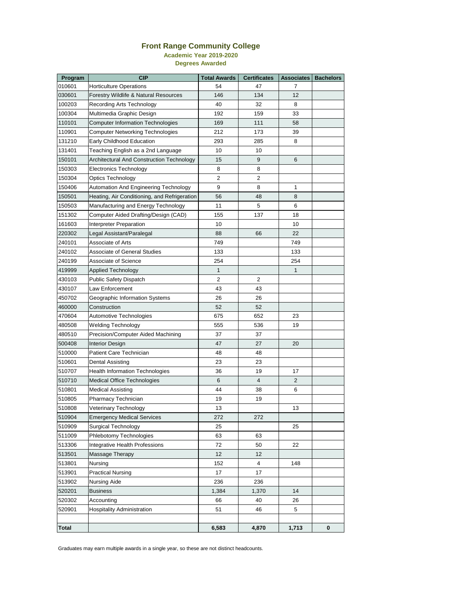## **Front Range Community College**

**Academic Year 2019-2020**

**Degrees Awarded**

| Program      | <b>CIP</b>                                       | <b>Total Awards</b> | <b>Certificates</b> | <b>Associates</b> | <b>Bachelors</b> |
|--------------|--------------------------------------------------|---------------------|---------------------|-------------------|------------------|
| 010601       | <b>Horticulture Operations</b>                   | 54                  | 47                  | $\overline{7}$    |                  |
| 030601       | Forestry Wildlife & Natural Resources            | 146                 | 134                 | 12                |                  |
| 100203       | <b>Recording Arts Technology</b>                 | 40                  | 32                  | 8                 |                  |
| 100304       | Multimedia Graphic Design                        | 192                 | 159                 | 33                |                  |
| 110101       | <b>Computer Information Technologies</b>         | 169                 | 111                 | 58                |                  |
| 110901       | <b>Computer Networking Technologies</b>          | 212                 | 173                 | 39                |                  |
| 131210       | <b>Early Childhood Education</b>                 | 293                 | 285                 | 8                 |                  |
| 131401       | Teaching English as a 2nd Language               | 10                  | 10                  |                   |                  |
| 150101       | <b>Architectural And Construction Technology</b> | 15                  | $\overline{9}$      | $6\phantom{1}6$   |                  |
| 150303       | <b>Electronics Technology</b>                    | 8                   | 8                   |                   |                  |
| 150304       | <b>Optics Technology</b>                         | $\overline{2}$      | $\overline{2}$      |                   |                  |
| 150406       | <b>Automation And Engineering Technology</b>     | 9                   | 8                   | 1                 |                  |
| 150501       | Heating, Air Conditioning, and Refrigeration     | 56                  | 48                  | 8                 |                  |
| 150503       | Manufacturing and Energy Technology              | 11                  | 5                   | 6                 |                  |
| 151302       | Computer Aided Drafting/Design (CAD)             | 155                 | 137                 | 18                |                  |
| 161603       | <b>Interpreter Preparation</b>                   | 10                  |                     | 10                |                  |
| 220302       | Legal Assistant/Paralegal                        | 88                  | 66                  | 22                |                  |
| 240101       | <b>Associate of Arts</b>                         | 749                 |                     | 749               |                  |
| 240102       | <b>Associate of General Studies</b>              | 133                 |                     | 133               |                  |
| 240199       | <b>Associate of Science</b>                      | 254                 |                     | 254               |                  |
| 419999       | <b>Applied Technology</b>                        | $\mathbf{1}$        |                     | $\mathbf{1}$      |                  |
| 430103       | <b>Public Safety Dispatch</b>                    | $\overline{2}$      | $\overline{2}$      |                   |                  |
| 430107       | Law Enforcement                                  | 43                  | 43                  |                   |                  |
| 450702       | Geographic Information Systems                   | 26                  | 26                  |                   |                  |
| 460000       | Construction                                     | 52                  | 52                  |                   |                  |
| 470604       | Automotive Technologies                          | 675                 | 652                 | 23                |                  |
| 480508       | <b>Welding Technology</b>                        | 555                 | 536                 | 19                |                  |
| 480510       | Precision/Computer Aided Machining               | 37                  | 37                  |                   |                  |
| 500408       | <b>Interior Design</b>                           | 47                  | 27                  | 20                |                  |
| 510000       | <b>Patient Care Technician</b>                   | 48                  | 48                  |                   |                  |
| 510601       | <b>Dental Assisting</b>                          | 23                  | 23                  |                   |                  |
| 510707       | <b>Health Information Technologies</b>           | 36                  | 19                  | 17                |                  |
| 510710       | <b>Medical Office Technologies</b>               | 6                   | $\overline{4}$      | 2                 |                  |
| 510801       | <b>Medical Assisting</b>                         | 44                  | 38                  | $6\phantom{1}6$   |                  |
| 510805       | Pharmacy Technician                              | 19                  | 19                  |                   |                  |
| 510808       | Veterinary Technology                            | 13                  |                     | 13                |                  |
| 510904       | <b>Emergency Medical Services</b>                | 272                 | 272                 |                   |                  |
| 510909       | <b>Surgical Technology</b>                       | 25                  |                     | 25                |                  |
| 511009       | Phlebotomy Technologies                          | 63                  | 63                  |                   |                  |
| 513306       | <b>Integrative Health Professions</b>            | 72                  | 50                  | 22                |                  |
| 513501       | Massage Therapy                                  | 12                  | 12                  |                   |                  |
| 513801       | Nursing                                          | 152                 | $\overline{4}$      | 148               |                  |
| 513901       | <b>Practical Nursing</b>                         | 17                  | 17                  |                   |                  |
| 513902       | <b>Nursing Aide</b>                              | 236                 | 236                 |                   |                  |
| 520201       | <b>Business</b>                                  | 1,384               | 1,370               | 14                |                  |
| 520302       | Accounting                                       | 66                  | 40                  | 26                |                  |
| 520901       | <b>Hospitality Administration</b>                | 51                  | 46                  | 5                 |                  |
|              |                                                  |                     |                     |                   |                  |
| <b>Total</b> |                                                  | 6,583               | 4,870               | 1,713             | $\bf{0}$         |

Graduates may earn multiple awards in a single year, so these are not distinct headcounts.